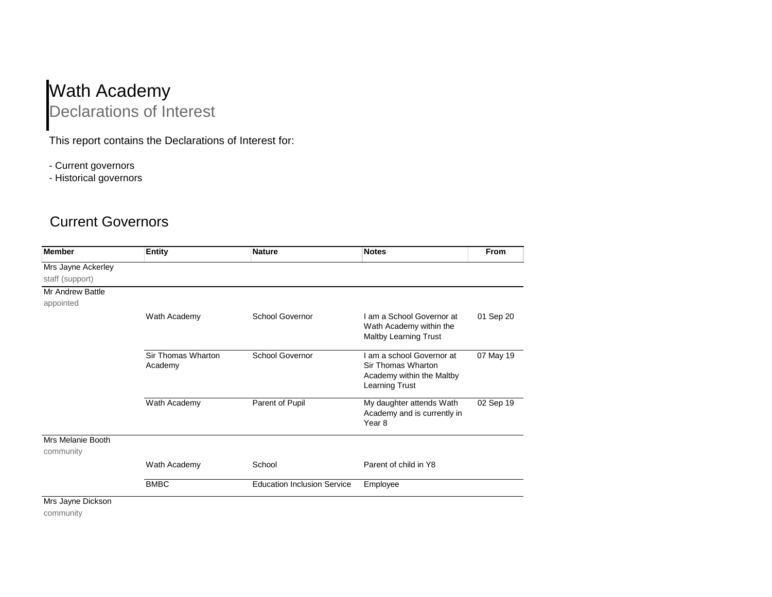## Wath Academy Declarations of Interest

This report contains the Declarations of Interest for:

- Current governors

- Historical governors

## Current Governors

| <b>Member</b>           | <b>Entity</b>                 | <b>Nature</b>                      | <b>Notes</b>                                                                                   | From      |
|-------------------------|-------------------------------|------------------------------------|------------------------------------------------------------------------------------------------|-----------|
| Mrs Jayne Ackerley      |                               |                                    |                                                                                                |           |
| staff (support)         |                               |                                    |                                                                                                |           |
| <b>Mr Andrew Battle</b> |                               |                                    |                                                                                                |           |
| appointed               |                               |                                    |                                                                                                |           |
|                         | Wath Academy                  | <b>School Governor</b>             | I am a School Governor at<br>Wath Academy within the<br><b>Maltby Learning Trust</b>           | 01 Sep 20 |
|                         | Sir Thomas Wharton<br>Academy | School Governor                    | I am a school Governor at<br>Sir Thomas Wharton<br>Academy within the Maltby<br>Learning Trust | 07 May 19 |
|                         | Wath Academy                  | Parent of Pupil                    | My daughter attends Wath<br>Academy and is currently in<br>Year <sub>8</sub>                   | 02 Sep 19 |
| Mrs Melanie Booth       |                               |                                    |                                                                                                |           |
| community               |                               |                                    |                                                                                                |           |
|                         | Wath Academy                  | School                             | Parent of child in Y8                                                                          |           |
|                         | <b>BMBC</b>                   | <b>Education Inclusion Service</b> | Employee                                                                                       |           |
| Mrs Jayne Dickson       |                               |                                    |                                                                                                |           |

community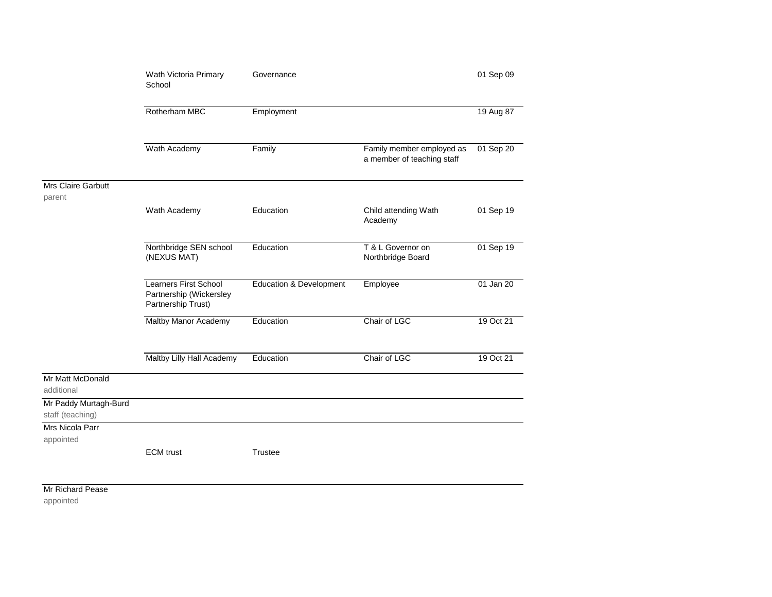|                                           | Wath Victoria Primary<br>School                                               | Governance              |                                                         | 01 Sep 09 |
|-------------------------------------------|-------------------------------------------------------------------------------|-------------------------|---------------------------------------------------------|-----------|
|                                           | Rotherham MBC                                                                 | Employment              |                                                         | 19 Aug 87 |
|                                           | Wath Academy                                                                  | Family                  | Family member employed as<br>a member of teaching staff | 01 Sep 20 |
| Mrs Claire Garbutt<br>parent              |                                                                               |                         |                                                         |           |
|                                           | Wath Academy                                                                  | Education               | Child attending Wath<br>Academy                         | 01 Sep 19 |
|                                           | Northbridge SEN school<br>(NEXUS MAT)                                         | Education               | T & L Governor on<br>Northbridge Board                  | 01 Sep 19 |
|                                           | <b>Learners First School</b><br>Partnership (Wickersley<br>Partnership Trust) | Education & Development | Employee                                                | 01 Jan 20 |
|                                           | Maltby Manor Academy                                                          | Education               | Chair of LGC                                            | 19 Oct 21 |
|                                           | Maltby Lilly Hall Academy                                                     | Education               | Chair of LGC                                            | 19 Oct 21 |
| Mr Matt McDonald<br>additional            |                                                                               |                         |                                                         |           |
| Mr Paddy Murtagh-Burd<br>staff (teaching) |                                                                               |                         |                                                         |           |
| Mrs Nicola Parr                           |                                                                               |                         |                                                         |           |
| appointed                                 | <b>ECM</b> trust                                                              | Trustee                 |                                                         |           |
|                                           |                                                                               |                         |                                                         |           |

Mr Richard Pease

appointed